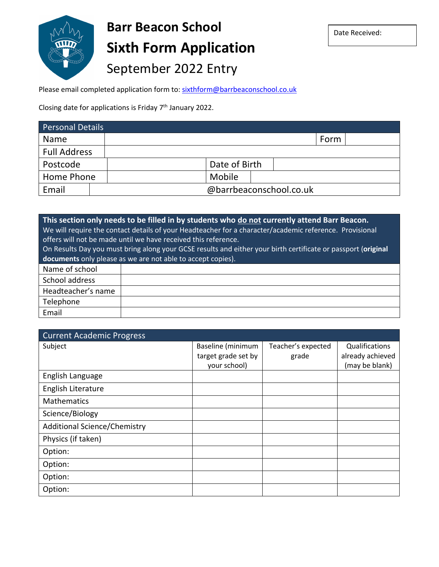

# **Barr Beacon School Sixth Form Application**  September 2022 Entry

Please email completed application form to: **sixthform@barrbeaconschool.co.uk** 

Closing date for applications is Friday 7<sup>th</sup> January 2022.

| Personal Details    |                         |      |  |
|---------------------|-------------------------|------|--|
| <b>Name</b>         |                         | Form |  |
| <b>Full Address</b> |                         |      |  |
| Postcode            | Date of Birth           |      |  |
| Home Phone          | Mobile                  |      |  |
| Email               | @barrbeaconschool.co.uk |      |  |

| This section only needs to be filled in by students who do not currently attend Barr Beacon.                  |  |  |  |
|---------------------------------------------------------------------------------------------------------------|--|--|--|
| We will require the contact details of your Headteacher for a character/academic reference. Provisional       |  |  |  |
| offers will not be made until we have received this reference.                                                |  |  |  |
| On Results Day you must bring along your GCSE results and either your birth certificate or passport (original |  |  |  |
| documents only please as we are not able to accept copies).                                                   |  |  |  |
| Name of school                                                                                                |  |  |  |
| School address                                                                                                |  |  |  |
| Headteacher's name                                                                                            |  |  |  |
| Telephone                                                                                                     |  |  |  |
| Email                                                                                                         |  |  |  |

| <b>Current Academic Progress</b>    |                     |                    |                  |
|-------------------------------------|---------------------|--------------------|------------------|
| Subject                             | Baseline (minimum   | Teacher's expected | Qualifications   |
|                                     | target grade set by | grade              | already achieved |
|                                     | your school)        |                    | (may be blank)   |
| English Language                    |                     |                    |                  |
| English Literature                  |                     |                    |                  |
| Mathematics                         |                     |                    |                  |
| Science/Biology                     |                     |                    |                  |
| <b>Additional Science/Chemistry</b> |                     |                    |                  |
| Physics (if taken)                  |                     |                    |                  |
| Option:                             |                     |                    |                  |
| Option:                             |                     |                    |                  |
| Option:                             |                     |                    |                  |
| Option:                             |                     |                    |                  |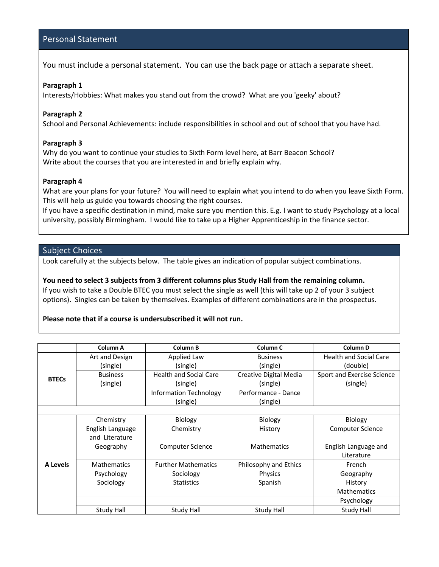### Personal Statement

You must include a personal statement. You can use the back page or attach a separate sheet.

#### **Paragraph 1**

Interests/Hobbies: What makes you stand out from the crowd? What are you 'geeky' about?

#### **Paragraph 2**

School and Personal Achievements: include responsibilities in school and out of school that you have had.

#### **Paragraph 3**

Why do you want to continue your studies to Sixth Form level here, at Barr Beacon School? Write about the courses that you are interested in and briefly explain why.

#### **Paragraph 4**

What are your plans for your future? You will need to explain what you intend to do when you leave Sixth Form. This will help us guide you towards choosing the right courses.

If you have a specific destination in mind, make sure you mention this. E.g. I want to study Psychology at a local university, possibly Birmingham. I would like to take up a Higher Apprenticeship in the finance sector.

#### Subject Choices

Look carefully at the subjects below. The table gives an indication of popular subject combinations.

**You need to select 3 subjects from 3 different columns plus Study Hall from the remaining column.**  If you wish to take a Double BTEC you must select the single as well (this will take up 2 of your 3 subject options). Singles can be taken by themselves. Examples of different combinations are in the prospectus.

#### **Please note that if a course is undersubscribed it will not run.**

|              | Column A           | Column B                      | Column <sub>C</sub>    | Column D                      |  |
|--------------|--------------------|-------------------------------|------------------------|-------------------------------|--|
|              | Art and Design     | Applied Law                   | <b>Business</b>        | <b>Health and Social Care</b> |  |
| <b>BTECs</b> | (single)           | (single)                      | (single)               | (double)                      |  |
|              | <b>Business</b>    | <b>Health and Social Care</b> | Creative Digital Media | Sport and Exercise Science    |  |
|              | (single)           | (single)                      | (single)               | (single)                      |  |
|              |                    | <b>Information Technology</b> | Performance - Dance    |                               |  |
|              |                    | (single)                      | (single)               |                               |  |
|              |                    |                               |                        |                               |  |
|              | Chemistry          | <b>Biology</b>                | Biology                | Biology                       |  |
|              | English Language   | Chemistry                     | History                | Computer Science              |  |
|              | and Literature     |                               |                        |                               |  |
|              | Geography          | <b>Computer Science</b>       | <b>Mathematics</b>     | English Language and          |  |
|              |                    |                               |                        | Literature                    |  |
| A Levels     | <b>Mathematics</b> | <b>Further Mathematics</b>    | Philosophy and Ethics  | French                        |  |
|              | Psychology         | Sociology                     | Physics                | Geography                     |  |
|              | Sociology          | <b>Statistics</b>             | Spanish                | History                       |  |
|              |                    |                               |                        | <b>Mathematics</b>            |  |
|              |                    |                               |                        | Psychology                    |  |
|              | Study Hall         | Study Hall                    | Study Hall             | <b>Study Hall</b>             |  |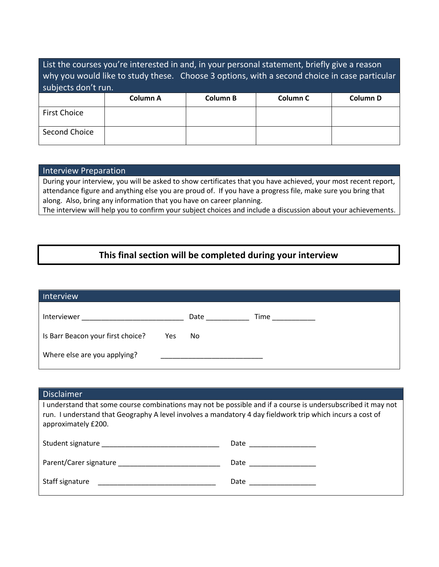| List the courses you're interested in and, in your personal statement, briefly give a reason<br>why you would like to study these. Choose 3 options, with a second choice in case particular<br>subjects don't run. |          |          |                     |          |
|---------------------------------------------------------------------------------------------------------------------------------------------------------------------------------------------------------------------|----------|----------|---------------------|----------|
|                                                                                                                                                                                                                     | Column A | Column B | Column <sub>C</sub> | Column D |
| <b>First Choice</b>                                                                                                                                                                                                 |          |          |                     |          |
| Second Choice                                                                                                                                                                                                       |          |          |                     |          |

#### Interview Preparation

During your interview, you will be asked to show certificates that you have achieved, your most recent report, attendance figure and anything else you are proud of. If you have a progress file, make sure you bring that along. Also, bring any information that you have on career planning.

The interview will help you to confirm your subject choices and include a discussion about your achievements.

## **This final section will be completed during your interview**

| Interview                                |      |      |
|------------------------------------------|------|------|
| Interviewer                              | Date | Time |
| Is Barr Beacon your first choice?<br>Yes | No   |      |
| Where else are you applying?             |      |      |

| <b>Disclaimer</b>                                                                                                                                                                                                                                |                        |  |  |
|--------------------------------------------------------------------------------------------------------------------------------------------------------------------------------------------------------------------------------------------------|------------------------|--|--|
| I understand that some course combinations may not be possible and if a course is undersubscribed it may not<br>run. I understand that Geography A level involves a mandatory 4 day fieldwork trip which incurs a cost of<br>approximately £200. |                        |  |  |
|                                                                                                                                                                                                                                                  | Date _________________ |  |  |
|                                                                                                                                                                                                                                                  |                        |  |  |
| Staff signature The Commission of the Commission of the Commission of the Commission of the Commission of the Commission of the Commission of the Commission of the Commission of the Commission of the Commission of the Comm                   | Date ______________    |  |  |